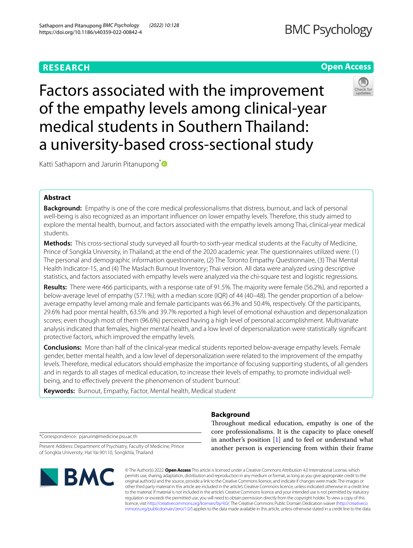# **RESEARCH**

Factors associated with the improvement of the empathy levels among clinical-year medical students in Southern Thailand: a university-based cross-sectional study

Katti Sathaporn and Jarurin Pitanupong<sup>\*</sup>

# **Abstract**

**Background:** Empathy is one of the core medical professionalisms that distress, burnout, and lack of personal well-being is also recognized as an important infuencer on lower empathy levels. Therefore, this study aimed to explore the mental health, burnout, and factors associated with the empathy levels among Thai, clinical-year medical students.

**Methods:** This cross-sectional study surveyed all fourth-to sixth-year medical students at the Faculty of Medicine, Prince of Songkla University, in Thailand; at the end of the 2020 academic year. The questionnaires utilized were: (1) The personal and demographic information questionnaire, (2) The Toronto Empathy Questionnaire, (3) Thai Mental Health Indicator-15, and (4) The Maslach Burnout Inventory; Thai version. All data were analyzed using descriptive statistics, and factors associated with empathy levels were analyzed via the chi-square test and logistic regressions.

**Results:** There were 466 participants, with a response rate of 91.5%. The majority were female (56.2%), and reported a below-average level of empathy (57.1%); with a median score (IQR) of 44 (40–48). The gender proportion of a belowaverage empathy level among male and female participants was 66.3% and 50.4%, respectively. Of the participants, 29.6% had poor mental health, 63.5% and 39.7% reported a high level of emotional exhaustion and depersonalization scores; even though most of them (96.6%) perceived having a high level of personal accomplishment. Multivariate analysis indicated that females, higher mental health, and a low level of depersonalization were statistically signifcant protective factors, which improved the empathy levels.

**Conclusions:** More than half of the clinical-year medical students reported below-average empathy levels. Female gender, better mental health, and a low level of depersonalization were related to the improvement of the empathy levels. Therefore, medical educators should emphasize the importance of focusing supporting students, of all genders and in regards to all stages of medical education, to increase their levels of empathy, to promote individual wellbeing, and to efectively prevent the phenomenon of student 'burnout'.

**Keywords:** Burnout, Empathy, Factor, Mental health, Medical student

**Background**

Throughout medical education, empathy is one of the core professionalisms. It is the capacity to place oneself in another's position [[1\]](#page-8-0) and to feel or understand what another person is experiencing from within their frame

\*Correspondence: pjarurin@medicine.psu.ac.th

**SMC** 

Present Address: Department of Psychiatry, Faculty of Medicine, Prince

© The Author(s) 2022. **Open Access** This article is licensed under a Creative Commons Attribution 4.0 International License, which permits use, sharing, adaptation, distribution and reproduction in any medium or format, as long as you give appropriate credit to the original author(s) and the source, provide a link to the Creative Commons licence, and indicate if changes were made. The images or other third party material in this article are included in the article's Creative Commons licence, unless indicated otherwise in a credit line to the material. If material is not included in the article's Creative Commons licence and your intended use is not permitted by statutory regulation or exceeds the permitted use, you will need to obtain permission directly from the copyright holder. To view a copy of this licence, visit [http://creativecommons.org/licenses/by/4.0/.](http://creativecommons.org/licenses/by/4.0/) The Creative Commons Public Domain Dedication waiver ([http://creativeco](http://creativecommons.org/publicdomain/zero/1.0/) [mmons.org/publicdomain/zero/1.0/](http://creativecommons.org/publicdomain/zero/1.0/)) applies to the data made available in this article, unless otherwise stated in a credit line to the data.

of Songkla University, Hat Yai 90110, Songkhla, Thailand





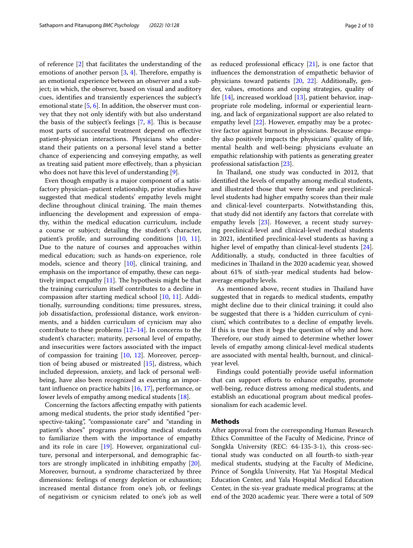of reference [[2\]](#page-8-1) that facilitates the understanding of the emotions of another person  $[3, 4]$  $[3, 4]$  $[3, 4]$  $[3, 4]$ . Therefore, empathy is an emotional experience between an observer and a subject; in which, the observer, based on visual and auditory cues, identifes and transiently experiences the subject's emotional state [[5,](#page-8-4) [6](#page-8-5)]. In addition, the observer must convey that they not only identify with but also understand the basis of the subject's feelings  $[7, 8]$  $[7, 8]$  $[7, 8]$  $[7, 8]$ . This is because most parts of successful treatment depend on efective patient-physician interactions. Physicians who understand their patients on a personal level stand a better chance of experiencing and conveying empathy, as well as treating said patient more efectively, than a physician who does not have this level of understanding [\[9](#page-8-8)].

Even though empathy is a major component of a satisfactory physician–patient relationship, prior studies have suggested that medical students' empathy levels might decline throughout clinical training. The main themes infuencing the development and expression of empathy, within the medical education curriculum, include a course or subject; detailing the student's character, patient's profle, and surrounding conditions [[10,](#page-8-9) [11](#page-8-10)]. Due to the nature of courses and approaches within medical education; such as hands-on experience, role models, science and theory [\[10](#page-8-9)], clinical training, and emphasis on the importance of empathy, these can negatively impact empathy  $[11]$ . The hypothesis might be that the training curriculum itself contributes to a decline in compassion after starting medical school [\[10](#page-8-9), [11](#page-8-10)]. Additionally, surrounding conditions; time pressures, stress, job dissatisfaction, professional distance, work environments, and a hidden curriculum of cynicism may also contribute to these problems [[12](#page-8-11)[–14](#page-8-12)]. In concerns to the student's character; maturity, personal level of empathy, and insecurities were factors associated with the impact of compassion for training [\[10](#page-8-9), [12](#page-8-11)]. Moreover, perception of being abused or mistreated [[15\]](#page-8-13), distress, which included depression, anxiety, and lack of personal wellbeing, have also been recognized as exerting an important infuence on practice habits [[16,](#page-8-14) [17](#page-8-15)], performance, or lower levels of empathy among medical students [[18](#page-8-16)].

Concerning the factors afecting empathy with patients among medical students, the prior study identifed "perspective-taking", "compassionate care" and "standing in patient's shoes" programs providing medical students to familiarize them with the importance of empathy and its role in care [[19](#page-8-17)]. However, organizational culture, personal and interpersonal, and demographic factors are strongly implicated in inhibiting empathy [\[20](#page-8-18)]. Moreover, burnout, a syndrome characterized by three dimensions: feelings of energy depletion or exhaustion; increased mental distance from one's job, or feelings of negativism or cynicism related to one's job as well as reduced professional efficacy  $[21]$  $[21]$  $[21]$ , is one factor that infuences the demonstration of empathetic behavior of physicians toward patients [\[20](#page-8-18), [22\]](#page-8-20). Additionally, gender, values, emotions and coping strategies, quality of life [\[14](#page-8-12)], increased workload [[13\]](#page-8-21), patient behavior, inappropriate role modeling, informal or experiential learning, and lack of organizational support are also related to empathy level [[22](#page-8-20)]. However, empathy may be a protective factor against burnout in physicians. Because empathy also positively impacts the physicians' quality of life, mental health and well-being: physicians evaluate an empathic relationship with patients as generating greater professional satisfaction [\[23](#page-8-22)].

In Thailand, one study was conducted in 2012, that identifed the levels of empathy among medical students, and illustrated those that were female and preclinicallevel students had higher empathy scores than their male and clinical-level counterparts. Notwithstanding this, that study did not identify any factors that correlate with empathy levels [\[23\]](#page-8-22). However, a recent study surveying preclinical-level and clinical-level medical students in 2021, identifed preclinical-level students as having a higher level of empathy than clinical-level students [\[24](#page-8-23)]. Additionally, a study, conducted in three faculties of medicines in Thailand in the 2020 academic year, showed about 61% of sixth-year medical students had belowaverage empathy levels.

As mentioned above, recent studies in Thailand have suggested that in regards to medical students, empathy might decline due to their clinical training; it could also be suggested that there is a 'hidden curriculum of cynicism', which contributes to a decline of empathy levels. If this is true then it begs the question of why and how. Therefore, our study aimed to determine whether lower levels of empathy among clinical-level medical students are associated with mental health, burnout, and clinicalyear level.

Findings could potentially provide useful information that can support efforts to enhance empathy, promote well-being, reduce distress among medical students, and establish an educational program about medical professionalism for each academic level.

### **Methods**

After approval from the corresponding Human Research Ethics Committee of the Faculty of Medicine, Prince of Songkla University (REC: 64-135-3-1), this cross-sectional study was conducted on all fourth-to sixth-year medical students, studying at the Faculty of Medicine, Prince of Songkla University, Hat Yai Hospital Medical Education Center, and Yala Hospital Medical Education Center, in the six-year graduate medical programs; at the end of the 2020 academic year. There were a total of 509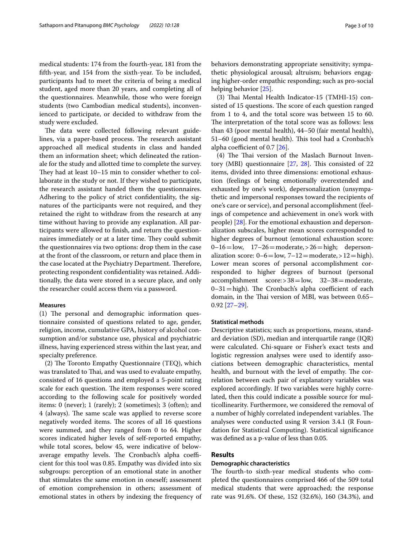medical students: 174 from the fourth-year, 181 from the ffth-year, and 154 from the sixth-year. To be included, participants had to meet the criteria of being a medical student, aged more than 20 years, and completing all of the questionnaires. Meanwhile, those who were foreign students (two Cambodian medical students), inconvenienced to participate, or decided to withdraw from the study were excluded.

The data were collected following relevant guidelines, via a paper-based process. The research assistant approached all medical students in class and handed them an information sheet; which delineated the rationale for the study and allotted time to complete the survey. They had at least  $10-15$  min to consider whether to collaborate in the study or not. If they wished to participate, the research assistant handed them the questionnaires. Adhering to the policy of strict confdentiality, the signatures of the participants were not required, and they retained the right to withdraw from the research at any time without having to provide any explanation. All participants were allowed to fnish, and return the questionnaires immediately or at a later time. They could submit the questionnaires via two options: drop them in the case at the front of the classroom, or return and place them in the case located at the Psychiatry Department. Therefore, protecting respondent confdentiality was retained. Additionally, the data were stored in a secure place, and only the researcher could access them via a password.

### **Measures**

 $(1)$  The personal and demographic information questionnaire consisted of questions related to age, gender, religion, income, cumulative GPA, history of alcohol consumption and/or substance use, physical and psychiatric illness, having experienced stress within the last year, and specialty preference.

 $(2)$  The Toronto Empathy Questionnaire (TEQ), which was translated to Thai, and was used to evaluate empathy, consisted of 16 questions and employed a 5-point rating scale for each question. The item responses were scored according to the following scale for positively worded items: 0 (never); 1 (rarely); 2 (sometimes); 3 (often); and 4 (always). The same scale was applied to reverse score negatively worded items. The scores of all 16 questions were summed, and they ranged from 0 to 64. Higher scores indicated higher levels of self-reported empathy, while total scores, below 45, were indicative of belowaverage empathy levels. The Cronbach's alpha coefficient for this tool was 0.85. Empathy was divided into six subgroups: perception of an emotional state in another that stimulates the same emotion in oneself; assessment of emotion comprehension in others; assessment of emotional states in others by indexing the frequency of behaviors demonstrating appropriate sensitivity; sympathetic physiological arousal; altruism; behaviors engaging higher-order empathic responding; such as pro-social helping behavior [\[25](#page-9-0)].

(3) Thai Mental Health Indicator-15 (TMHI-15) consisted of 15 questions. The score of each question ranged from 1 to 4, and the total score was between 15 to 60. The interpretation of the total score was as follows: less than 43 (poor mental health), 44–50 (fair mental health), 51-60 (good mental health). This tool had a Cronbach's alpha coefficient of 0.7  $[26]$  $[26]$ .

 $(4)$  The Thai version of the Maslach Burnout Inventory (MBI) questionnaire  $[27, 28]$  $[27, 28]$  $[27, 28]$  $[27, 28]$  $[27, 28]$ . This consisted of 22 items, divided into three dimensions: emotional exhaustion (feelings of being emotionally overextended and exhausted by one's work), depersonalization (unsympathetic and impersonal responses toward the recipients of one's care or service), and personal accomplishment (feelings of competence and achievement in one's work with people) [[28\]](#page-9-3). For the emotional exhaustion and depersonalization subscales, higher mean scores corresponded to higher degrees of burnout (emotional exhaustion score:  $0-16=$ low,  $17-26=$ moderate, >  $26=$ high; depersonalization score:  $0-6 =$ low,  $7-12 =$ moderate, $>12 =$ high). Lower mean scores of personal accomplishment corresponded to higher degrees of burnout (personal accomplishment score:>38=low, 32–38=moderate,  $0-31=$ high). The Cronbach's alpha coefficient of each domain, in the Thai version of MBI, was between 0.65– 0.92 [\[27](#page-9-2)–[29\]](#page-9-4).

# **Statistical methods**

Descriptive statistics; such as proportions, means, standard deviation (SD), median and interquartile range (IQR) were calculated. Chi-square or Fisher's exact tests and logistic regression analyses were used to identify associations between demographic characteristics, mental health, and burnout with the level of empathy. The correlation between each pair of explanatory variables was explored accordingly. If two variables were highly correlated, then this could indicate a possible source for multicollinearity. Furthermore, we considered the removal of a number of highly correlated independent variables. The analyses were conducted using R version 3.4.1 (R Foundation for Statistical Computing). Statistical signifcance was defned as a p-value of less than 0.05.

# **Results**

# **Demographic characteristics**

The fourth-to sixth-year medical students who completed the questionnaires comprised 466 of the 509 total medical students that were approached; the response rate was 91.6%. Of these, 152 (32.6%), 160 (34.3%), and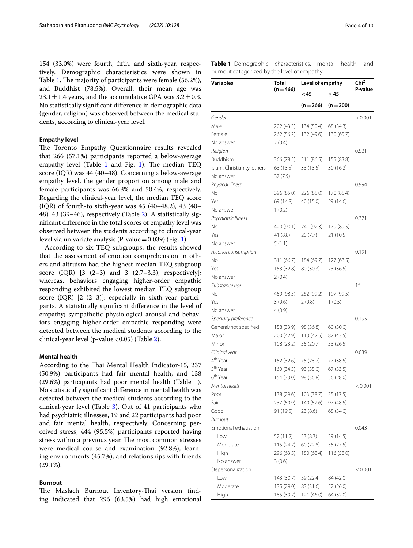154 (33.0%) were fourth, ffth, and sixth-year, respectively. Demographic characteristics were shown in Table [1](#page-3-0). The majority of participants were female (56.2%), and Buddhist (78.5%). Overall, their mean age was  $23.1 \pm 1.4$  years, and the accumulative GPA was  $3.2 \pm 0.3$ . No statistically signifcant diference in demographic data (gender, religion) was observed between the medical students, according to clinical-year level.

# **Empathy level**

The Toronto Empathy Questionnaire results revealed that 266 (57.1%) participants reported a below-average empathy level (Table [1](#page-3-0) and Fig. [1\)](#page-4-0). The median  $TEQ$ score (IQR) was 44 (40–48). Concerning a below-average empathy level, the gender proportion among male and female participants was 66.3% and 50.4%, respectively. Regarding the clinical-year level, the median TEQ score (IQR) of fourth-to sixth-year was 45 (40–48.2), 43 (40– 48), 43 (39–46), respectively (Table [2](#page-4-1)). A statistically signifcant diference in the total scores of empathy level was observed between the students according to clinical-year level via univariate analysis (P-value =  $0.039$ ) (Fig. [1\)](#page-4-0).

According to six TEQ subgroups, the results showed that the assessment of emotion comprehension in others and altruism had the highest median TEQ subgroup score (IQR)  $[3 (2-3)$  and 3  $(2.7-3.3)$ , respectively]; whereas, behaviors engaging higher-order empathic responding exhibited the lowest median TEQ subgroup score (IQR) [2 (2–3)]: especially in sixth-year participants. A statistically signifcant diference in the level of empathy; sympathetic physiological arousal and behaviors engaging higher-order empathic responding were detected between the medical students according to the clinical-year level (p-value < 0.05) (Table [2\)](#page-4-1).

## <span id="page-3-1"></span>**Mental health**

According to the Thai Mental Health Indicator-15, 237 (50.9%) participants had fair mental health, and 138 (29.6%) participants had poor mental health (Table [1](#page-3-0)). No statistically signifcant diference in mental health was detected between the medical students according to the clinical-year level (Table [3\)](#page-5-0). Out of 41 participants who had psychiatric illnesses, 19 and 22 participants had poor and fair mental health, respectively. Concerning perceived stress, 444 (95.5%) participants reported having stress within a previous year. The most common stresses were medical course and examination (92.8%), learning environments (45.7%), and relationships with friends (29.1%).

### **Burnout**

The Maslach Burnout Inventory-Thai version finding indicated that 296 (63.5%) had high emotional <span id="page-3-0"></span>**Table 1** Demographic characteristics, mental health, and burnout categorized by the level of empathy

| <b>Variables</b>            | Total<br>$(n = 466)$ | Level of empathy | Chi <sup>2</sup> |                |
|-----------------------------|----------------------|------------------|------------------|----------------|
|                             |                      | <45              | $\geq$ 45        | P-value        |
|                             |                      | $(n=266)$        | $(n=200)$        |                |
| Gender                      |                      |                  |                  | < 0.001        |
| Male                        | 202 (43.3)           | 134 (50.4)       | 68 (34.3)        |                |
| Female                      | 262 (56.2)           | 132 (49.6)       | 130 (65.7)       |                |
| No answer                   | 2(0.4)               |                  |                  |                |
| Religion                    |                      |                  |                  | 0.521          |
| Buddhism                    | 366 (78.5)           | 211 (86.5)       | 155 (83.8)       |                |
| Islam, Christianity, others | 63 (13.5)            | 33 (13.5)        | 30(16.2)         |                |
| No answer                   | 37 (7.9)             |                  |                  |                |
| Physical illness            |                      |                  |                  | 0.994          |
| No                          | 396 (85.0)           | 226 (85.0)       | 170 (85.4)       |                |
| Yes                         | 69 (14.8)            | 40 (15.0)        | 29 (14.6)        |                |
| No answer                   | 1(0.2)               |                  |                  |                |
| Psychiatric illness         |                      |                  |                  | 0.371          |
| No                          | 420 (90.1)           | 241 (92.3)       | 179 (89.5)       |                |
| Yes                         | 41 (8.8)             | 20(7.7)          | 21 (10.5)        |                |
| No answer                   | 5(1.1)               |                  |                  |                |
| Alcohol consumption         |                      |                  |                  | 0.191          |
| No                          | 311 (66.7)           | 184 (69.7)       | 127 (63.5)       |                |
| Yes                         | 153 (32.8)           | 80 (30.3)        | 73 (36.5)        |                |
| No answer                   | 2(0.4)               |                  |                  |                |
| Substance use               |                      |                  |                  | 1 <sup>a</sup> |
| Νo                          | 459 (98.5)           | 262 (99.2)       | 197 (99.5)       |                |
| Yes                         | 3(0.6)               | 2(0.8)           | 1(0.5)           |                |
| No answer                   | 4(0.9)               |                  |                  |                |
| Specialty preference        |                      |                  |                  | 0.195          |
| General/not specified       | 158 (33.9)           | 98 (36.8)        | 60 (30.0)        |                |
| Major                       | 200 (42.9)           | 113 (42.5)       | 87 (43.5)        |                |
| Minor                       | 108 (23.2)           | 55 (20.7)        | 53 (26.5)        |                |
| Clinical year               |                      |                  |                  | 0.039          |
| 4 <sup>th</sup> Year        | 152 (32.6)           | 75 (28.2)        | 77 (38.5)        |                |
| 5 <sup>th</sup> Year        | 160 (34.3)           | 93 (35.0)        | 67 (33.5)        |                |
| 6 <sup>th</sup> Year        | 154 (33.0)           | 98 (36.8)        | 56 (28.0)        |                |
| Mental health               |                      |                  |                  | < 0.001        |
| Poor                        | 138 (29.6)           | 103 (38.7)       | 35 (17.5)        |                |
| Fair                        | 237 (50.9)           | 140 (52.6)       | 97 (48.5)        |                |
| Good                        | 91 (19.5)            | 23(8.6)          | 68 (34.0)        |                |
| <b>Burnout</b>              |                      |                  |                  |                |
| Emotional exhaustion        |                      |                  |                  | 0.043          |
| Low                         | 52 (11.2)            | 23(8.7)          | 29 (14.5)        |                |
| Moderate                    | 115 (24.7)           | 60(22.8)         | 55 (27.5)        |                |
| High                        | 296 (63.5)           | 180 (68.4)       | 116 (58.0)       |                |
| No answer                   | 3(0.6)               |                  |                  |                |
| Depersonalization           |                      |                  |                  | < 0.001        |
| Low                         | 143 (30.7)           | 59 (22.4)        | 84 (42.0)        |                |
| Moderate                    | 135 (29.0)           | 83 (31.6)        | 52 (26.0)        |                |
|                             |                      |                  |                  |                |
| High                        | 185 (39.7)           | 121 (46.0)       | 64 (32.0)        |                |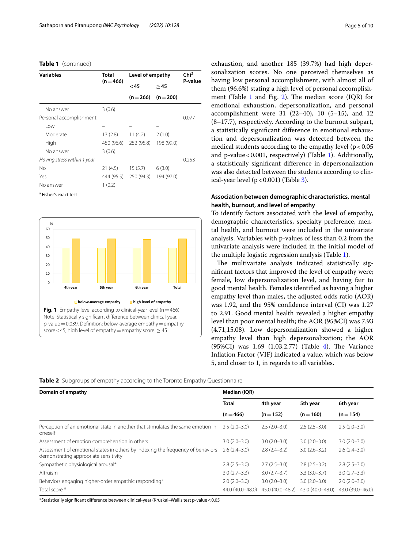# **Table 1** (continued)

| <b>Variables</b>            | <b>Total</b><br>$(n = 466)$ | Level of empathy | Chi <sup>2</sup>    |         |
|-----------------------------|-----------------------------|------------------|---------------------|---------|
|                             |                             | <45              | >45                 | P-value |
|                             |                             |                  | $(n=266)$ $(n=200)$ |         |
| No answer                   | 3(0.6)                      |                  |                     |         |
| Personal accomplishment     |                             |                  |                     | 0.077   |
| l ow                        |                             |                  |                     |         |
| Moderate                    | 13(2.8)                     | 11(4.2)          | 2(1.0)              |         |
| High                        | 450 (96.6)                  | 252 (95.8)       | 198 (99.0)          |         |
| No answer                   | 3(0.6)                      |                  |                     |         |
| Having stress within 1 year |                             |                  |                     | 0.253   |
| No                          | 21(4.5)                     | 15(5.7)          | 6(3.0)              |         |
| Yes                         | 444 (95.5)                  | 250 (94.3)       | 194 (97.0)          |         |
| No answer                   | 1(0.2)                      |                  |                     |         |

<sup>a</sup> Fisher's exact test



exhaustion, and another 185 (39.7%) had high depersonalization scores. No one perceived themselves as having low personal accomplishment, with almost all of them (96.6%) stating a high level of personal accomplishment (Table  $1$  and Fig. [2\)](#page-6-0). The median score (IQR) for emotional exhaustion, depersonalization, and personal accomplishment were 31 (22–40), 10 (5–15), and 12 (8–17.7), respectively. According to the burnout subpart, a statistically signifcant diference in emotional exhaustion and depersonalization was detected between the medical students according to the empathy level ( $p < 0.05$ ) and p-value <  $0.001$ , respectively) (Table [1\)](#page-3-0). Additionally, a statistically signifcant diference in depersonalization was also detected between the students according to clinical-year level  $(p < 0.001)$  (Table [3\)](#page-5-0).

# **Association between demographic characteristics, mental health, burnout, and level of empathy**

To identify factors associated with the level of empathy, demographic characteristics, specialty preference, mental health, and burnout were included in the univariate analysis. Variables with p-values of less than 0.2 from the univariate analysis were included in the initial model of the multiple logistic regression analysis (Table [1](#page-3-0)).

The multivariate analysis indicated statistically signifcant factors that improved the level of empathy were; female, low depersonalization level, and having fair to good mental health. Females identifed as having a higher empathy level than males, the adjusted odds ratio (AOR) was 1.92, and the 95% confdence interval (CI) was 1.27 to 2.91. Good mental health revealed a higher empathy level than poor mental health; the AOR (95%CI) was 7.93 (4.71,15.08). Low depersonalization showed a higher empathy level than high depersonalization; the AOR  $(95\%CI)$  was 1.69  $(1.03, 2.77)$  (Table [4\)](#page-6-1). The Variance Infation Factor (VIF) indicated a value, which was below 5, and closer to 1, in regards to all variables.

<span id="page-4-1"></span><span id="page-4-0"></span>**Table 2** Subgroups of empathy according to the Toronto Empathy Questionnaire

| Domain of empathy                                                                                                        | Median (IQR)     |                  |                  |                  |
|--------------------------------------------------------------------------------------------------------------------------|------------------|------------------|------------------|------------------|
|                                                                                                                          | <b>Total</b>     | 4th year         | 5th year         | 6th year         |
|                                                                                                                          | $(n = 466)$      | $(n=152)$        | $(n=160)$        | $(n=154)$        |
| Perception of an emotional state in another that stimulates the same emotion in<br>oneself                               | $2.5(2.0-3.0)$   | $2.5(2.0-3.0)$   | $2.5(2.5-3.0)$   | $2.5(2.0-3.0)$   |
| Assessment of emotion comprehension in others                                                                            | $3.0(2.0 - 3.0)$ | $3.0(2.0 - 3.0)$ | $3.0(2.0-3.0)$   | $3.0(2.0 - 3.0)$ |
| Assessment of emotional states in others by indexing the frequency of behaviors<br>demonstrating appropriate sensitivity | $2.6(2.4-3.0)$   | $2.8(2.4-3.2)$   | $3.0(2.6 - 3.2)$ | $2.6(2.4-3.0)$   |
| Sympathetic physiological arousal*                                                                                       | $2.8(2.5-3.0)$   | $2.7(2.5-3.0)$   | $2.8(2.5-3.2)$   | $2.8(2.5-3.0)$   |
| Altruism                                                                                                                 | $3.0(2.7 - 3.3)$ | $3.0(2.7 - 3.7)$ | $3.3(3.0-3.7)$   | $3.0(2.7 - 3.3)$ |
| Behaviors engaging higher-order empathic responding*                                                                     | $2.0(2.0-3.0)$   | $3.0(2.0-3.0)$   | $3.0(2.0-3.0)$   | $2.0(2.0-3.0)$   |
| Total score *                                                                                                            | 44.0 (40.0-48.0) | 45.0 (40.0-48.2) | 43.0 (40.0-48.0) | 43.0 (39.0-46.0) |

\*Statistically signifcant diference between clinical-year (Kruskal–Wallis test p-value<0.05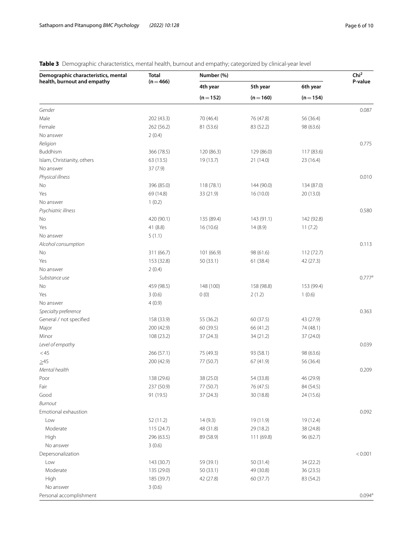# <span id="page-5-0"></span>**Table 3** Demographic characteristics, mental health, burnout and empathy; categorized by clinical-year level

| Demographic characteristics, mental<br>health, burnout and empathy | <b>Total</b><br>$(n = 466)$ | Number (%)             | Chi <sup>2</sup>        |                         |                    |
|--------------------------------------------------------------------|-----------------------------|------------------------|-------------------------|-------------------------|--------------------|
|                                                                    |                             | 4th year               | 5th year<br>$(n = 160)$ | 6th year<br>$(n = 154)$ | P-value            |
|                                                                    |                             | $(n = 152)$            |                         |                         |                    |
| Gender                                                             |                             |                        |                         |                         | 0.087              |
| Male                                                               | 202 (43.3)                  | 70 (46.4)              | 76 (47.8)               | 56 (36.4)               |                    |
| Female                                                             | 262 (56.2)                  | 81 (53.6)              | 83 (52.2)               | 98 (63.6)               |                    |
| No answer                                                          | 2(0.4)                      |                        |                         |                         |                    |
| Religion                                                           |                             |                        |                         |                         | 0.775              |
| Buddhism                                                           | 366 (78.5)                  | 120 (86.3)             | 129 (86.0)              | 117 (83.6)              |                    |
| Islam, Christianity, others                                        | 63 (13.5)                   | 19 (13.7)              | 21 (14.0)               | 23 (16.4)               |                    |
| No answer                                                          | 37(7.9)                     |                        |                         |                         |                    |
| Physical illness                                                   |                             |                        |                         |                         | 0.010              |
| No                                                                 | 396 (85.0)                  | 118(78.1)              | 144 (90.0)              | 134 (87.0)              |                    |
| Yes                                                                | 69 (14.8)                   | 33 (21.9)              | 16 (10.0)               | 20 (13.0)               |                    |
| No answer                                                          | 1(0.2)                      |                        |                         |                         |                    |
| Psychiatric illness                                                |                             |                        |                         |                         | 0.580              |
| No                                                                 | 420 (90.1)                  | 135 (89.4)             | 143 (91.1)              | 142 (92.8)              |                    |
| Yes                                                                | 41 (8.8)                    | 16(10.6)               | 14(8.9)                 | 11(7.2)                 |                    |
| No answer                                                          | 5(1.1)                      |                        |                         |                         |                    |
| Alcohol consumption                                                |                             |                        |                         |                         | 0.113              |
| No                                                                 | 311 (66.7)                  | 101 (66.9)             | 98 (61.6)               | 112(72.7)               |                    |
| Yes                                                                | 153 (32.8)                  | 50(33.1)               | 61 (38.4)               | 42 (27.3)               |                    |
| No answer                                                          | 2(0.4)                      |                        |                         |                         |                    |
| Substance use                                                      |                             |                        |                         |                         | 0.777 <sup>a</sup> |
| No                                                                 | 459 (98.5)                  | 148 (100)              | 158 (98.8)              | 153 (99.4)              |                    |
| Yes                                                                | 3(0.6)                      | 0(0)                   | 2(1.2)                  | 1(0.6)                  |                    |
| No answer                                                          | 4(0.9)                      |                        |                         |                         |                    |
| Specialty preference                                               |                             |                        |                         |                         | 0.363              |
| General / not specified                                            | 158 (33.9)                  | 55 (36.2)              | 60 (37.5)               | 43 (27.9)               |                    |
| Major                                                              | 200 (42.9)                  | 60 (39.5)              | 66 (41.2)               | 74 (48.1)               |                    |
| Minor                                                              | 108 (23.2)                  | 37 (24.3)              | 34 (21.2)               | 37 (24.0)               |                    |
| Level of empathy                                                   |                             |                        |                         |                         | 0.039              |
| $<$ 45                                                             | 266 (57.1)                  | 75 (49.3)              | 93 (58.1)               | 98 (63.6)               |                    |
| $\geq45$                                                           | 200 (42.9)                  | 77 (50.7)              | 67(41.9)                | 56 (36.4)               |                    |
| Mental health                                                      |                             |                        |                         |                         | 0.209              |
| Poor                                                               | 138 (29.6)                  |                        | 54 (33.8)               |                         |                    |
| Fair                                                               | 237 (50.9)                  | 38 (25.0)<br>77 (50.7) | 76 (47.5)               | 46 (29.9)<br>84 (54.5)  |                    |
| Good                                                               | 91 (19.5)                   | 37(24.3)               | 30 (18.8)               | 24 (15.6)               |                    |
| <b>Burnout</b>                                                     |                             |                        |                         |                         |                    |
| Emotional exhaustion                                               |                             |                        |                         |                         | 0.092              |
|                                                                    | 52(11.2)                    |                        |                         |                         |                    |
| Low                                                                |                             | 14(9.3)                | 19 (11.9)               | 19 (12.4)               |                    |
| Moderate                                                           | 115(24.7)                   | 48 (31.8)              | 29 (18.2)               | 38 (24.8)               |                    |
| High                                                               | 296 (63.5)                  | 89 (58.9)              | 111 (69.8)              | 96(62.7)                |                    |
| No answer                                                          | 3(0.6)                      |                        |                         |                         |                    |
| Depersonalization                                                  |                             |                        |                         |                         | < 0.001            |
| Low                                                                | 143 (30.7)                  | 59 (39.1)              | 50 (31.4)               | 34 (22.2)               |                    |
| Moderate                                                           | 135 (29.0)                  | 50(33.1)               | 49 (30.8)               | 36 (23.5)               |                    |
| High                                                               | 185 (39.7)                  | 42 (27.8)              | 60 (37.7)               | 83 (54.2)               |                    |
| No answer                                                          | 3(0.6)                      |                        |                         |                         |                    |
| Personal accomplishment                                            |                             |                        |                         |                         | 0.094 <sup>a</sup> |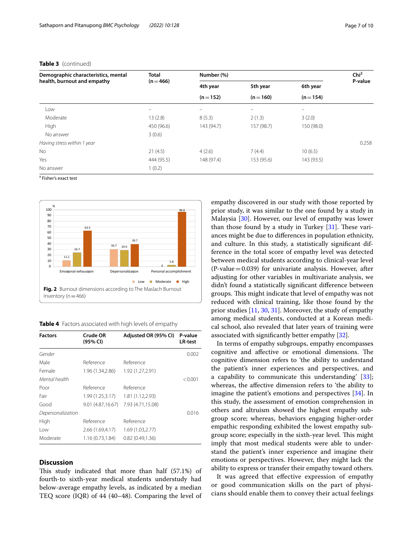| Demographic characteristics, mental<br>health, burnout and empathy | <b>Total</b> | Number (%)            |                       |                       | Chi <sup>2</sup> |
|--------------------------------------------------------------------|--------------|-----------------------|-----------------------|-----------------------|------------------|
|                                                                    | $(n = 466)$  | 4th year<br>$(n=152)$ | 5th year<br>$(n=160)$ | 6th year<br>$(n=154)$ | P-value          |
|                                                                    |              |                       |                       |                       |                  |
| Moderate                                                           | 13(2.8)      | 8(5.3)                | 2(1.3)                | 3(2.0)                |                  |
| High                                                               | 450 (96.6)   | 143 (94.7)            | 157 (98.7)            | 150 (98.0)            |                  |
| No answer                                                          | 3(0.6)       |                       |                       |                       |                  |
| Having stress within 1 year                                        |              |                       |                       |                       | 0.258            |
| No.                                                                | 21(4.5)      | 4(2.6)                | 7(4.4)                | 10(6.5)               |                  |
| Yes                                                                | 444 (95.5)   | 148 (97.4)            | 153 (95.6)            | 143 (93.5)            |                  |
| No answer                                                          | 1(0.2)       |                       |                       |                       |                  |

### **Table 3** (continued)

<sup>a</sup> Fisher's exact test



<span id="page-6-1"></span><span id="page-6-0"></span>**Table 4** Factors associated with high levels of empathy

| <b>Factors</b>    | Crude OR<br>(95% CI) | Adjusted OR (95% CI) | P-value<br><b>LR-test</b> |
|-------------------|----------------------|----------------------|---------------------------|
| Gender            |                      |                      | 0.002                     |
| Male              | Reference            | Reference            |                           |
| Female            | 1.96 (1.34,2.86)     | 1.92 (1.27, 2.91)    |                           |
| Mental health     |                      |                      | < 0.001                   |
| Poor              | Reference            | Reference            |                           |
| Fair              | 1.99 (1.25,3.17)     | 1.81 (1.12,2.93)     |                           |
| Good              | 9.01(4.87,16.67)     | 7.93 (4.71,15.08)    |                           |
| Depersonalization |                      |                      | 0.016                     |
| High              | Reference            | Reference            |                           |
| Low               | 2.66 (1.69,4.17)     | 1.69 (1.03,2.77)     |                           |
| Moderate          | 1.16 (0.73,1.84)     | 0.82(0.49, 1.36)     |                           |

# **Discussion**

This study indicated that more than half (57.1%) of fourth-to sixth-year medical students understudy had below-average empathy levels, as indicated by a median TEQ score (IQR) of 44 (40–48). Comparing the level of empathy discovered in our study with those reported by prior study, it was similar to the one found by a study in Malaysia [\[30](#page-9-5)]. However, our level of empathy was lower than those found by a study in Turkey  $[31]$  $[31]$ . These variances might be due to diferences in population ethnicity, and culture. In this study, a statistically signifcant difference in the total score of empathy level was detected between medical students according to clinical-year level  $(P-value = 0.039)$  for univariate analysis. However, after adjusting for other variables in multivariate analysis, we didn't found a statistically signifcant diference between groups. This might indicate that level of empathy was not reduced with clinical training, like those found by the prior studies [[11,](#page-8-10) [30](#page-9-5), [31\]](#page-9-6). Moreover, the study of empathy among medical students, conducted at a Korean medical school, also revealed that later years of training were associated with signifcantly better empathy [[32\]](#page-9-7).

In terms of empathy subgroups, empathy encompasses cognitive and affective or emotional dimensions. The cognitive dimension refers to 'the ability to understand the patient's inner experiences and perspectives, and a capability to communicate this understanding' [\[33](#page-9-8)]; whereas, the afective dimension refers to 'the ability to imagine the patient's emotions and perspectives [\[34](#page-9-9)]. In this study, the assessment of emotion comprehension in others and altruism showed the highest empathy subgroup score; whereas, behaviors engaging higher-order empathic responding exhibited the lowest empathy subgroup score; especially in the sixth-year level. This might imply that most medical students were able to understand the patient's inner experience and imagine their emotions or perspectives. However, they might lack the ability to express or transfer their empathy toward others.

It was agreed that effective expression of empathy or good communication skills on the part of physicians should enable them to convey their actual feelings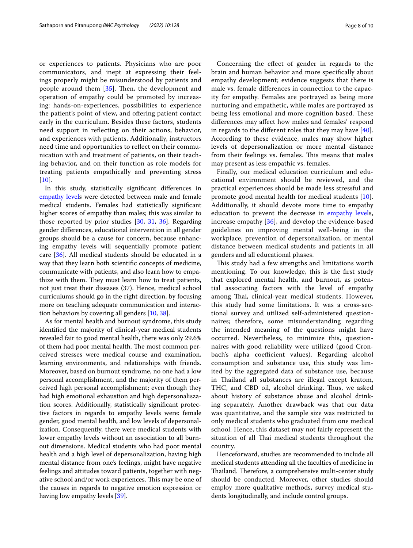or experiences to patients. Physicians who are poor communicators, and inept at expressing their feelings properly might be misunderstood by patients and people around them  $[35]$  $[35]$  $[35]$ . Then, the development and operation of empathy could be promoted by increasing: hands-on-experiences, possibilities to experience the patient's point of view, and ofering patient contact early in the curriculum. Besides these factors, students need support in refecting on their actions, behavior, and experiences with patients. Additionally, instructors need time and opportunities to refect on their communication with and treatment of patients, on their teaching behavior, and on their function as role models for treating patients empathically and preventing stress  $[10]$  $[10]$  $[10]$ .

In this study, statistically signifcant diferences in [empathy level](#page-3-1)s were detected between male and female medical students. Females had statistically signifcant higher scores of empathy than males; this was similar to those reported by prior studies [\[30](#page-9-5), [31](#page-9-6), [36](#page-9-11)]. Regarding gender diferences, educational intervention in all gender groups should be a cause for concern, because enhancing empathy levels will sequentially promote patient care [[36](#page-9-11)]. All medical students should be educated in a way that they learn both scientifc concepts of medicine, communicate with patients, and also learn how to empathize with them. They must learn how to treat patients, not just treat their diseases (37). Hence, medical school curriculums should go in the right direction, by focusing more on teaching adequate communication and interaction behaviors by covering all genders [[10,](#page-8-9) [38](#page-9-12)].

As for mental health and burnout syndrome, this study identifed the majority of clinical-year medical students revealed fair to good mental health, there was only 29.6% of them had poor mental health. The most common perceived stresses were medical course and examination, learning environments, and relationships with friends. Moreover, based on burnout syndrome, no one had a low personal accomplishment, and the majority of them perceived high personal accomplishment; even though they had high emotional exhaustion and high depersonaliszation scores. Additionally, statistically signifcant protective factors in regards to empathy levels were: female gender, good mental health, and low levels of depersonalization. Consequently, there were medical students with lower empathy levels without an association to all burnout dimensions. Medical students who had poor mental health and a high level of depersonalization, having high mental distance from one's feelings, might have negative feelings and attitudes toward patients, together with negative school and/or work experiences. This may be one of the causes in regards to negative emotion expression or having low empathy levels [[39\]](#page-9-13).

Concerning the efect of gender in regards to the brain and human behavior and more specifcally about empathy development; evidence suggests that there is male vs. female diferences in connection to the capacity for empathy. Females are portrayed as being more nurturing and empathetic, while males are portrayed as being less emotional and more cognition based. These diferences may afect how males and females' respond in regards to the diferent roles that they may have [[40](#page-9-14)]. According to these evidence, males may show higher levels of depersonalization or more mental distance from their feelings vs. females. This means that males may present as less empathic vs. females.

Finally, our medical education curriculum and educational environment should be reviewed, and the practical experiences should be made less stressful and promote good mental health for medical students [[10](#page-8-9)]. Additionally, it should devote more time to empathy education to prevent the decrease in [empathy level](#page-3-1)s, increase empathy [[36\]](#page-9-11), and develop the evidence-based guidelines on improving mental well-being in the workplace, prevention of depersonalization, or mental distance between medical students and patients in all genders and all educational phases.

This study had a few strengths and limitations worth mentioning. To our knowledge, this is the frst study that explored mental health, and burnout, as potential associating factors with the level of empathy among Thai, clinical-year medical students. However, this study had some limitations. It was a cross-sectional survey and utilized self-administered questionnaires; therefore, some misunderstanding regarding the intended meaning of the questions might have occurred. Nevertheless, to minimize this, questionnaires with good reliability were utilized (good Cronbach's alpha coefficient values). Regarding alcohol consumption and substance use, this study was limited by the aggregated data of substance use, because in Thailand all substances are illegal except kratom, THC, and CBD oil, alcohol drinking. Thus, we asked about history of substance abuse and alcohol drinking separately. Another drawback was that our data was quantitative, and the sample size was restricted to only medical students who graduated from one medical school. Hence, this dataset may not fairly represent the situation of all Thai medical students throughout the country.

Henceforward, studies are recommended to include all medical students attending all the faculties of medicine in Thailand. Therefore, a comprehensive multi-center study should be conducted. Moreover, other studies should employ more qualitative methods, survey medical students longitudinally, and include control groups.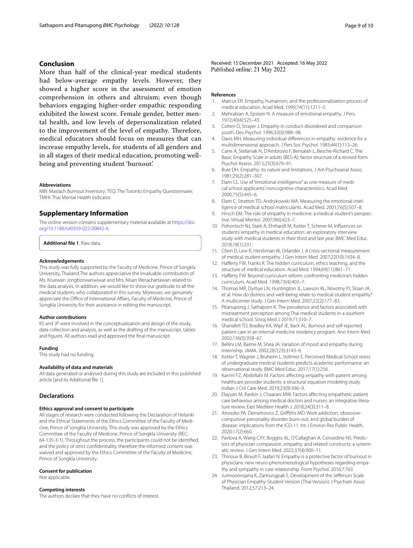# **Conclusion**

More than half of the clinical-year medical students had below-average empathy levels. However, they showed a higher score in the assessment of emotion comprehension in others and altruism; even though behaviors engaging higher-order empathic responding exhibited the lowest score. Female gender, better mental health, and low levels of depersonalization related to the improvement of the level of empathy. Therefore, medical educators should focus on measures that can increase empathy levels, for students of all genders and in all stages of their medical education, promoting wellbeing and preventing student 'burnout'.

#### **Abbreviations**

MBI: Maslach Burnout Inventory; TEQ: The Toronto Empathy Questionnaire; TMHI: Thai Mental Health Indicator.

### **Supplementary Information**

The online version contains supplementary material available at [https://doi.](https://doi.org/10.1186/s40359-022-00842-4) [org/10.1186/s40359-022-00842-4](https://doi.org/10.1186/s40359-022-00842-4).

<span id="page-8-24"></span>**Additional fle 1**. Raw data.

#### **Acknowledgements**

This study was fully supported by the Faculty of Medicine, Prince of Songkla University, Thailand.The authors appreciative the invaluable contribution of Ms. Kruewan Jongborwanwiwat and Mrs. Nisan Werachattawan related to the data analysis. In addition, we would like to show our gratitude to all the medical students who collaborated in this survey. Moreover, we genuinely appreciate the Office of International Affairs, Faculty of Medicine, Prince of Songkla University for their assistance in editing the manuscript.

#### **Author contributions**

KS and JP were involved in the conceptualization and design of the study, data collection and analysis, as well as the drafting of the manuscript, tables and fgures. All authors read and approved the fnal manuscript.

### **Funding**

This study had no funding.

### **Availability of data and materials**

All data generated or analysed during this study are included in this published article [and its Additional fle [1\]](#page-8-24).

### **Declarations**

#### **Ethics approval and consent to participate**

All stages of research were conducted following the Declaration of Helsinki and the Ethical Statements of the Ethics Committee of the Faculty of Medicine, Prince of Songkla University. This study was approved by the Ethics Committee of the Faculty of Medicine, Prince of Songkla University (REC: 64-135-3-1). Throughout the process, the participants could not be identifed, and the policy of strict confdentiality, therefore the informed consent was waived and approved by the Ethics Committee of the Faculty of Medicine, Prince of Songkla University.

# **Consent for publication**

Not applicable.

#### **Competing interests**

The authors declare that they have no conficts of interest.

#### **References**

- <span id="page-8-0"></span>1. Marcus ER. Empathy, humanism, and the professionalization process of medical education. Acad Med. 1999;74(11):1211–5.
- <span id="page-8-1"></span>2. Mehrabian A, Epstein N. A measure of emotional empathy. J Pers. 1972;40(4):525–43.
- <span id="page-8-2"></span>3. Cohen D, Strayer J. Empathy in conduct-disordered and comparison youth. Dev Psychol. 1996;32(6):988–98.
- <span id="page-8-3"></span>4. Davis MH. Measuring individual diferences in empathy: evidence for a multidimensional approach. J Pers Soc Psychol. 1983;44(1):113–26.
- <span id="page-8-4"></span>5. Carre A, Stefaniak N, D'Ambrosio F, Bensalah L, Besche-Richard C. The Basic Empathy Scale in adults (BES-A): factor structure of a revised form. Psychol Assess. 2013;25(3):679–91.
- <span id="page-8-5"></span>6. Buie DH. Empathy: its nature and limitations. J Am Psychoanal Assoc. 1981;29(2):281–307.
- <span id="page-8-6"></span>7. Elam CL. Use of "emotional intelligence" as one measure of medical school applicants' noncognitive characteristics. Acad Med. 2000;75(5):445–6.
- <span id="page-8-7"></span>Elam C, Stratton TD, Andrykowski MA. Measuring the emotional intelligence of medical school matriculants. Acad Med. 2001;76(5):507–8.
- <span id="page-8-8"></span>9. Hirsch EM. The role of empathy in medicine: a medical student's perspective. Virtual Mentor. 2007;9(6):423–7.
- <span id="page-8-9"></span>10. Pohontsch NJ, Stark A, Ehrhardt M, Kotter T, Scherer M. Infuences on students' empathy in medical education: an exploratory interview study with medical students in their third and last year. BMC Med Educ. 2018;18(1):231.
- <span id="page-8-10"></span>11. Chen D, Lew R, Hershman W, Orlander J. A cross-sectional measurement of medical student empathy. J Gen Intern Med. 2007;22(10):1434–8.
- <span id="page-8-11"></span>12. Hafferty FW, Franks R. The hidden curriculum, ethics teaching, and the structure of medical education. Acad Med. 1994;69(11):861–71.
- <span id="page-8-21"></span>13. Haferty FW. Beyond curriculum reform: confronting medicine's hidden curriculum. Acad Med. 1998;73(4):403–7.
- <span id="page-8-12"></span>14. Thomas MR, Dyrbye LN, Huntington JL, Lawson KL, Novotny PJ, Sloan JA, et al. How do distress and well-being relate to medical student empathy? A multicenter study. J Gen Intern Med. 2007;22(2):177–83.
- <span id="page-8-13"></span>15. Pitanupong J, Sathaporn K. The prevalence and factors associated with mistreatment perception among Thai medical students in a southern medical school. Siriraj Med J. 2019;71:310–7.
- <span id="page-8-14"></span>16. Shanafelt TD, Bradley KA, Wipf JE, Back AL. Burnout and self-reported patient care in an internal medicine residency program. Ann Intern Med. 2002;136(5):358–67.
- <span id="page-8-15"></span>17. Bellini LM, Baime M, Shea JA. Variation of mood and empathy during internship. JAMA. 2002;287(23):3143–6.
- <span id="page-8-16"></span>18. Kotter T, Wagner J, Bruheim L, Voltmer E. Perceived Medical School stress of undergraduate medical students predicts academic performance: an observational study. BMC Med Educ. 2017;17(1):256.
- <span id="page-8-17"></span>19. Karimi FZ, Abdollahi M. Factors afecting empathy with patient among healthcare provider students: a structural equation modeling study. Indian J Crit Care Med. 2019;23(9):396–9.
- <span id="page-8-18"></span>20. Elayyan M, Rankin J, Chaarani MW. Factors affecting empathetic patient care behaviour among medical doctors and nurses: an integrative literature review. East Mediterr Health J. 2018;24(3):311–8.
- <span id="page-8-19"></span>21. Atroszko PA, Demetrovics Z, Griffiths MD. Work addiction, obsessivecompulsive personality disorder, burn-out, and global burden of disease: implications from the ICD-11. Int J Environ Res Public Health. 2020;17(2):660.
- <span id="page-8-20"></span>22. Pavlova A, Wang CXY, Boggiss AL, O'Callaghan A, Consedine NS. Predictors of physician compassion, empathy, and related constructs: a systematic review. J Gen Intern Med. 2022;37(4):900–11.
- <span id="page-8-22"></span>23. Thirioux B, Birault F, Jaafari N. Empathy is a protective factor of burnout in physicians: new neuro-phenomenological hypotheses regarding empathy and sympathy in care relationship. Front Psychol. 2016;7:763.
- <span id="page-8-23"></span>24. Jumroonrojana K, Zartrungpak S. Development of the Jefferson Scale of Physician Empathy-Student Version (Thai Version). J Psychiatr Assoc Thailand. 2012;57:213–24.